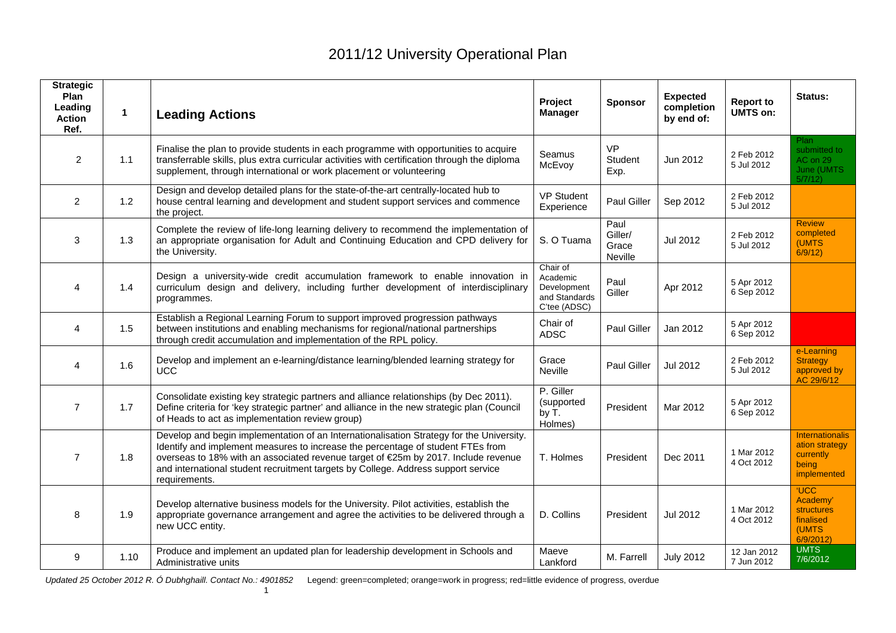| <b>Strategic</b><br>Plan<br>Leading<br><b>Action</b><br>Ref. | $\mathbf{1}$ | <b>Leading Actions</b>                                                                                                                                                                                                                                                                                                                                                  | Project<br><b>Manager</b>                                            | <b>Sponsor</b>                      | <b>Expected</b><br>completion<br>by end of: | <b>Report to</b><br><b>UMTS on:</b> | Status:                                                                        |
|--------------------------------------------------------------|--------------|-------------------------------------------------------------------------------------------------------------------------------------------------------------------------------------------------------------------------------------------------------------------------------------------------------------------------------------------------------------------------|----------------------------------------------------------------------|-------------------------------------|---------------------------------------------|-------------------------------------|--------------------------------------------------------------------------------|
| $\overline{2}$                                               | 1.1          | Finalise the plan to provide students in each programme with opportunities to acquire<br>transferrable skills, plus extra curricular activities with certification through the diploma<br>supplement, through international or work placement or volunteering                                                                                                           | Seamus<br>McEvoy                                                     | <b>VP</b><br>Student<br>Exp.        | Jun 2012                                    | 2 Feb 2012<br>5 Jul 2012            | Plan<br>submitted to<br>AC on 29<br>June (UMTS)<br>5/7/12                      |
| $\overline{2}$                                               | 1.2          | Design and develop detailed plans for the state-of-the-art centrally-located hub to<br>house central learning and development and student support services and commence<br>the project.                                                                                                                                                                                 | <b>VP Student</b><br>Experience                                      | <b>Paul Giller</b>                  | Sep 2012                                    | 2 Feb 2012<br>5 Jul 2012            |                                                                                |
| 3                                                            | 1.3          | Complete the review of life-long learning delivery to recommend the implementation of<br>an appropriate organisation for Adult and Continuing Education and CPD delivery for<br>the University.                                                                                                                                                                         | S. O Tuama                                                           | Paul<br>Giller/<br>Grace<br>Neville | Jul 2012                                    | 2 Feb 2012<br>5 Jul 2012            | <b>Review</b><br>completed<br>(UMTS<br>6/9/12                                  |
| 4                                                            | 1.4          | Design a university-wide credit accumulation framework to enable innovation in<br>curriculum design and delivery, including further development of interdisciplinary<br>programmes.                                                                                                                                                                                     | Chair of<br>Academic<br>Development<br>and Standards<br>C'tee (ADSC) | Paul<br>Giller                      | Apr 2012                                    | 5 Apr 2012<br>6 Sep 2012            |                                                                                |
| 4                                                            | 1.5          | Establish a Regional Learning Forum to support improved progression pathways<br>between institutions and enabling mechanisms for regional/national partnerships<br>through credit accumulation and implementation of the RPL policy.                                                                                                                                    | Chair of<br><b>ADSC</b>                                              | Paul Giller                         | Jan 2012                                    | 5 Apr 2012<br>6 Sep 2012            |                                                                                |
| 4                                                            | 1.6          | Develop and implement an e-learning/distance learning/blended learning strategy for<br><b>UCC</b>                                                                                                                                                                                                                                                                       | Grace<br><b>Neville</b>                                              | Paul Giller                         | <b>Jul 2012</b>                             | 2 Feb 2012<br>5 Jul 2012            | e-Learning<br><b>Strategy</b><br>approved by<br>AC 29/6/12                     |
| $\overline{7}$                                               | 1.7          | Consolidate existing key strategic partners and alliance relationships (by Dec 2011).<br>Define criteria for 'key strategic partner' and alliance in the new strategic plan (Council<br>of Heads to act as implementation review group)                                                                                                                                 | P. Giller<br>(supported<br>by T.<br>Holmes)                          | President                           | Mar 2012                                    | 5 Apr 2012<br>6 Sep 2012            |                                                                                |
| $\overline{7}$                                               | 1.8          | Develop and begin implementation of an Internationalisation Strategy for the University.<br>Identify and implement measures to increase the percentage of student FTEs from<br>overseas to 18% with an associated revenue target of €25m by 2017. Include revenue<br>and international student recruitment targets by College. Address support service<br>requirements. | T. Holmes                                                            | President                           | Dec 2011                                    | 1 Mar 2012<br>4 Oct 2012            | Internationalis<br>ation strategy<br>currently<br>being<br>implemented         |
| 8                                                            | 1.9          | Develop alternative business models for the University. Pilot activities, establish the<br>appropriate governance arrangement and agree the activities to be delivered through a<br>new UCC entity.                                                                                                                                                                     | D. Collins                                                           | President                           | Jul 2012                                    | 1 Mar 2012<br>4 Oct 2012            | <b>UCC</b><br>Academy'<br><b>structures</b><br>finalised<br>(UMTS)<br>6/9/2012 |
| 9                                                            | 1.10         | Produce and implement an updated plan for leadership development in Schools and<br>Administrative units                                                                                                                                                                                                                                                                 | Maeve<br>Lankford                                                    | M. Farrell                          | <b>July 2012</b>                            | 12 Jan 2012<br>7 Jun 2012           | <b>UMTS</b><br>7/6/2012                                                        |

*Updated 25 October 2012 R. Ó Dubhghaill. Contact No.: 4901852* Legend: green=completed; orange=work in progress; red=little evidence of progress, overdue

1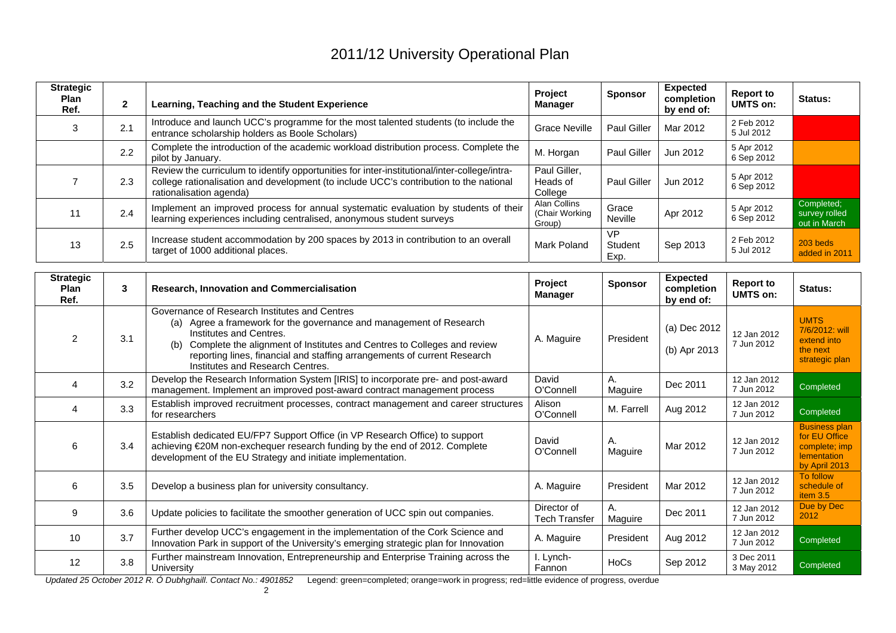| <b>Strategic</b><br><b>Plan</b><br>Ref. | $\overline{2}$ | Learning, Teaching and the Student Experience                                                                                                                                                                     | Project<br>Manager                       | <b>Sponsor</b>               | <b>Expected</b><br>completion<br>by end of: | <b>Report to</b><br><b>UMTS on:</b> | Status:                                     |
|-----------------------------------------|----------------|-------------------------------------------------------------------------------------------------------------------------------------------------------------------------------------------------------------------|------------------------------------------|------------------------------|---------------------------------------------|-------------------------------------|---------------------------------------------|
|                                         | 2.1            | Introduce and launch UCC's programme for the most talented students (to include the<br>entrance scholarship holders as Boole Scholars)                                                                            | <b>Grace Neville</b>                     | <b>Paul Giller</b>           | Mar 2012                                    | 2 Feb 2012<br>5 Jul 2012            |                                             |
|                                         | 2.2            | Complete the introduction of the academic workload distribution process. Complete the<br>pilot by January.                                                                                                        | M. Horgan                                | Paul Giller                  | Jun 2012                                    | 5 Apr 2012<br>6 Sep 2012            |                                             |
|                                         | 2.3            | Review the curriculum to identify opportunities for inter-institutional/inter-college/intra-<br>college rationalisation and development (to include UCC's contribution to the national<br>rationalisation agenda) | Paul Giller,<br>Heads of<br>College      | Paul Giller                  | Jun 2012                                    | 5 Apr 2012<br>6 Sep 2012            |                                             |
|                                         | 2.4            | Implement an improved process for annual systematic evaluation by students of their<br>learning experiences including centralised, anonymous student surveys                                                      | Alan Collins<br>(Chair Working<br>Group) | Grace<br>Neville             | Apr 2012                                    | 5 Apr 2012<br>6 Sep 2012            | Completed:<br>survey rolled<br>out in March |
| 13                                      | 2.5            | Increase student accommodation by 200 spaces by 2013 in contribution to an overall<br>target of 1000 additional places.                                                                                           | Mark Poland                              | <b>VP</b><br>Student<br>Exp. | Sep 2013                                    | 2 Feb 2012<br>5 Jul 2012            | 203 beds<br>added in 2011                   |

| <b>Strategic</b><br><b>Plan</b><br>Ref. | 3   | <b>Research, Innovation and Commercialisation</b>                                                                                                                                                                                                                                                                                                    | Project<br>Manager           | <b>Sponsor</b> | <b>Expected</b><br>completion<br>by end of: | <b>Report to</b><br><b>UMTS on:</b> | Status:                                                                                |
|-----------------------------------------|-----|------------------------------------------------------------------------------------------------------------------------------------------------------------------------------------------------------------------------------------------------------------------------------------------------------------------------------------------------------|------------------------------|----------------|---------------------------------------------|-------------------------------------|----------------------------------------------------------------------------------------|
| $\mathfrak{p}$                          | 3.1 | Governance of Research Institutes and Centres<br>Agree a framework for the governance and management of Research<br>(a)<br>Institutes and Centres.<br>Complete the alignment of Institutes and Centres to Colleges and review<br>(b)<br>reporting lines, financial and staffing arrangements of current Research<br>Institutes and Research Centres. | A. Maguire                   | President      | (a) Dec 2012<br>(b) Apr 2013                | 12 Jan 2012<br>7 Jun 2012           | <b>UMTS</b><br>7/6/2012: will<br>extend into<br>the next<br>strategic plan             |
| 4                                       | 3.2 | Develop the Research Information System [IRIS] to incorporate pre- and post-award<br>management. Implement an improved post-award contract management process                                                                                                                                                                                        | David<br>O'Connell           | А.<br>Maguire  | Dec 2011                                    | 12 Jan 2012<br>7 Jun 2012           | Completed                                                                              |
| 4                                       | 3.3 | Establish improved recruitment processes, contract management and career structures<br>for researchers                                                                                                                                                                                                                                               | Alison<br>O'Connell          | M. Farrell     | Aug 2012                                    | 12 Jan 2012<br>7 Jun 2012           | Completed                                                                              |
| 6                                       | 3.4 | Establish dedicated EU/FP7 Support Office (in VP Research Office) to support<br>achieving €20M non-exchequer research funding by the end of 2012. Complete<br>development of the EU Strategy and initiate implementation.                                                                                                                            | David<br>O'Connell           | Α.<br>Maguire  | Mar 2012                                    | 12 Jan 2012<br>7 Jun 2012           | <b>Business plan</b><br>for EU Office<br>complete; imp<br>lementation<br>by April 2013 |
| 6                                       | 3.5 | Develop a business plan for university consultancy.                                                                                                                                                                                                                                                                                                  | A. Maguire                   | President      | Mar 2012                                    | 12 Jan 2012<br>7 Jun 2012           | To follow<br>schedule of<br>item $3.5$                                                 |
| 9                                       | 3.6 | Update policies to facilitate the smoother generation of UCC spin out companies.                                                                                                                                                                                                                                                                     | Director of<br>Tech Transfer | Α.<br>Maguire  | Dec 2011                                    | 12 Jan 2012<br>7 Jun 2012           | Due by Dec<br>2012                                                                     |
| 10                                      | 3.7 | Further develop UCC's engagement in the implementation of the Cork Science and<br>Innovation Park in support of the University's emerging strategic plan for Innovation                                                                                                                                                                              | A. Maguire                   | President      | Aug 2012                                    | 12 Jan 2012<br>7 Jun 2012           | Completed                                                                              |
| 12                                      | 3.8 | Further mainstream Innovation, Entrepreneurship and Enterprise Training across the<br>University                                                                                                                                                                                                                                                     | I. Lynch-<br>Fannon          | HoCs           | Sep 2012                                    | 3 Dec 2011<br>3 May 2012            | Completed                                                                              |

*Updated 25 October 2012 R. Ó Dubhghaill. Contact No.: 4901852* Legend: green=completed; orange=work in progress; red=little evidence of progress, overdue 2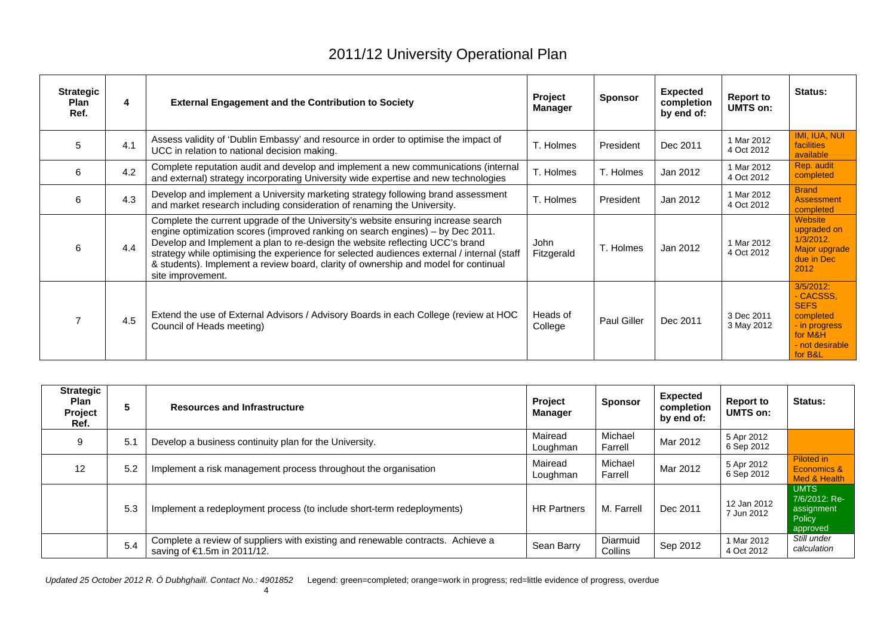| <b>Strategic</b><br><b>Plan</b><br>Ref. | 4   | <b>External Engagement and the Contribution to Society</b>                                                                                                                                                                                                                                                                                                                                                                                                    | Project<br><b>Manager</b> | <b>Sponsor</b>     | <b>Expected</b><br>completion<br>by end of: | <b>Report to</b><br>UMTS on: | <b>Status:</b>                                                                                                  |
|-----------------------------------------|-----|---------------------------------------------------------------------------------------------------------------------------------------------------------------------------------------------------------------------------------------------------------------------------------------------------------------------------------------------------------------------------------------------------------------------------------------------------------------|---------------------------|--------------------|---------------------------------------------|------------------------------|-----------------------------------------------------------------------------------------------------------------|
| 5                                       | 4.1 | Assess validity of 'Dublin Embassy' and resource in order to optimise the impact of<br>UCC in relation to national decision making.                                                                                                                                                                                                                                                                                                                           | T. Holmes                 | President          | Dec 2011                                    | 1 Mar 2012<br>4 Oct 2012     | IMI, IUA, NUI<br><b>facilities</b><br>available                                                                 |
| 6                                       | 4.2 | Complete reputation audit and develop and implement a new communications (internal<br>and external) strategy incorporating University wide expertise and new technologies                                                                                                                                                                                                                                                                                     | T. Holmes                 | T. Holmes          | Jan 2012                                    | 1 Mar 2012<br>4 Oct 2012     | Rep. audit<br>completed                                                                                         |
| 6                                       | 4.3 | Develop and implement a University marketing strategy following brand assessment<br>and market research including consideration of renaming the University.                                                                                                                                                                                                                                                                                                   | T. Holmes                 | President          | Jan 2012                                    | 1 Mar 2012<br>4 Oct 2012     | <b>Brand</b><br><b>Assessment</b><br>completed                                                                  |
| 6                                       | 4.4 | Complete the current upgrade of the University's website ensuring increase search<br>engine optimization scores (improved ranking on search engines) - by Dec 2011.<br>Develop and Implement a plan to re-design the website reflecting UCC's brand<br>strategy while optimising the experience for selected audiences external / internal (staff<br>& students). Implement a review board, clarity of ownership and model for continual<br>site improvement. | John<br>Fitzgerald        | T. Holmes          | Jan 2012                                    | 1 Mar 2012<br>4 Oct 2012     | <b>Website</b><br>upgraded on<br>$1/3/2012$ .<br>Major upgrade<br>due in Dec<br>2012                            |
|                                         | 4.5 | Extend the use of External Advisors / Advisory Boards in each College (review at HOC<br>Council of Heads meeting)                                                                                                                                                                                                                                                                                                                                             | Heads of<br>College       | <b>Paul Giller</b> | Dec 2011                                    | 3 Dec 2011<br>3 May 2012     | $3/5/2012$ :<br>- CACSSS.<br><b>SEFS</b><br>completed<br>- in progress<br>for M&H<br>- not desirable<br>for B&L |

| <b>Strategic</b><br><b>Plan</b><br>Project<br>Ref. | 5   | <b>Resources and Infrastructure</b>                                                                            | <b>Project</b><br>Manager | <b>Sponsor</b>      | <b>Expected</b><br>completion<br>by end of: | <b>Report to</b><br><b>UMTS on:</b> | <b>Status:</b>                                                   |
|----------------------------------------------------|-----|----------------------------------------------------------------------------------------------------------------|---------------------------|---------------------|---------------------------------------------|-------------------------------------|------------------------------------------------------------------|
| 9                                                  | 5.1 | Develop a business continuity plan for the University.                                                         | Mairead<br>Loughman       | Michael<br>Farrell  | Mar 2012                                    | 5 Apr 2012<br>6 Sep 2012            |                                                                  |
| 12                                                 | 5.2 | Implement a risk management process throughout the organisation                                                | Mairead<br>Loughman       | Michael<br>Farrell  | Mar 2012                                    | 5 Apr 2012<br>6 Sep 2012            | Piloted in<br>Economics &<br>Med & Health                        |
|                                                    | 5.3 | Implement a redeployment process (to include short-term redeployments)                                         | <b>HR Partners</b>        | M. Farrell          | Dec 2011                                    | 12 Jan 2012<br>7 Jun 2012           | <b>UMTS</b><br>7/6/2012: Re-<br>assignment<br>Policy<br>approved |
|                                                    | 5.4 | Complete a review of suppliers with existing and renewable contracts. Achieve a<br>saving of €1.5m in 2011/12. | Sean Barry                | Diarmuid<br>Collins | Sep 2012                                    | 1 Mar 2012<br>4 Oct 2012            | Still under<br>calculation                                       |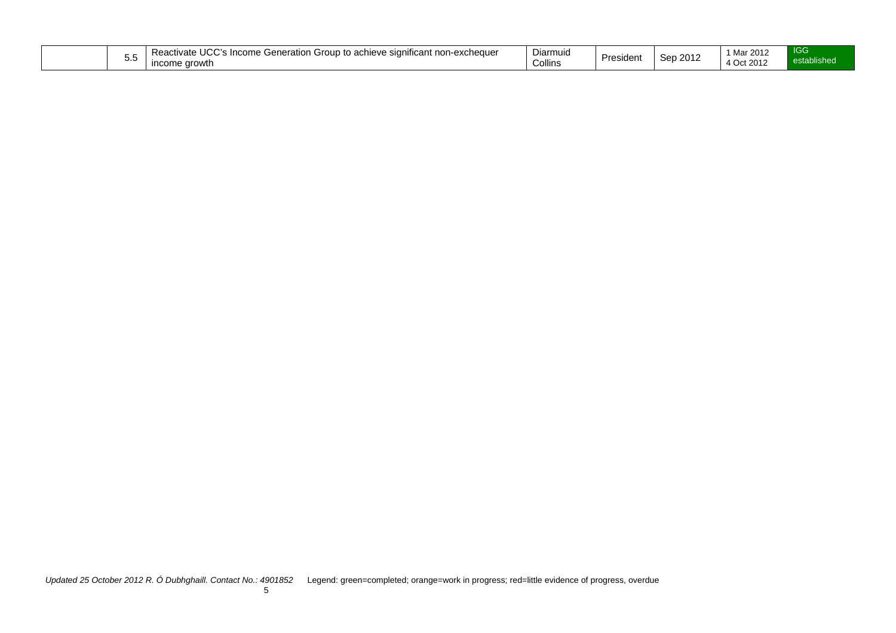| $\sim$ $\sim$ $\sim$<br>$\cdots$<br>React <sup>.</sup><br>e significant non-exchequer<br>Group to<br>'' <sup>ncome</sup> ' പ<br>achieve<br>Generation<br>$10+7$<br>:πva<br>,,,,,,,,<br>v.v<br>ণrowth<br><b>Income</b> | -<br><sup>1</sup> Mar.<br>: 2011<br>Diarmuid<br>0.010<br>Ser<br><b>President</b><br>∠ ZUT<br>Collins<br>4 Oct 2012 | <b>IGG</b><br>tablished<br><b>ASICIOL</b> |
|-----------------------------------------------------------------------------------------------------------------------------------------------------------------------------------------------------------------------|--------------------------------------------------------------------------------------------------------------------|-------------------------------------------|
|-----------------------------------------------------------------------------------------------------------------------------------------------------------------------------------------------------------------------|--------------------------------------------------------------------------------------------------------------------|-------------------------------------------|